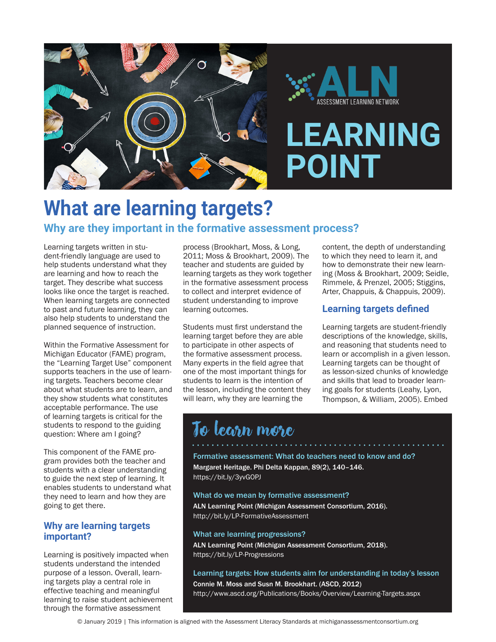

# **What are learning targets? Why are they important in the formative assessment process?**

Learning targets written in student-friendly language are used to help students understand what they are learning and how to reach the target. They describe what success looks like once the target is reached. When learning targets are connected to past and future learning, they can also help students to understand the planned sequence of instruction.

Within the Formative Assessment for Michigan Educator (FAME) program, the "Learning Target Use" component supports teachers in the use of learning targets. Teachers become clear about what students are to learn, and they show students what constitutes acceptable performance. The use of learning targets is critical for the students to respond to the guiding question: Where am I going?

This component of the FAME program provides both the teacher and students with a clear understanding to guide the next step of learning. It enables students to understand what they need to learn and how they are going to get there.

### **Why are learning targets important?**

Learning is positively impacted when students understand the intended purpose of a lesson. Overall, learning targets play a central role in effective teaching and meaningful learning to raise student achievement through the formative assessment

process (Brookhart, Moss, & Long, 2011; Moss & Brookhart, 2009). The teacher and students are guided by learning targets as they work together in the formative assessment process to collect and interpret evidence of student understanding to improve learning outcomes.

Students must first understand the learning target before they are able to participate in other aspects of the formative assessment process. Many experts in the field agree that one of the most important things for students to learn is the intention of the lesson, including the content they will learn, why they are learning the

content, the depth of understanding to which they need to learn it, and how to demonstrate their new learning (Moss & Brookhart, 2009; Seidle, Rimmele, & Prenzel, 2005; Stiggins, Arter, Chappuis, & Chappuis, 2009).

# **Learning targets defined**

Learning targets are student-friendly descriptions of the knowledge, skills, and reasoning that students need to learn or accomplish in a given lesson. Learning targets can be thought of as lesson-sized chunks of knowledge and skills that lead to broader learning goals for students (Leahy, Lyon, Thompson, & William, 2005). Embed

# To learn more

Formative assessment: What do teachers need to know and do? Margaret Heritage. Phi Delta Kappan, 89(2), 140–146. https://bit.ly/3yvGOPJ

#### What do we mean by formative assessment?

ALN Learning Point (Michigan Assessment Consortium, 2016). http://bit.ly/LP-FormativeAssessment

#### What are learning progressions?

ALN Learning Point (Michigan Assessment Consortium, 2018). https://bit.ly/LP-Progressions

#### Learning targets: How students aim for understanding in today's lesson

Connie M. Moss and Susn M. Brookhart. (ASCD, 2012) http://www.ascd.org/Publications/Books/Overview/Learning-Targets.aspx